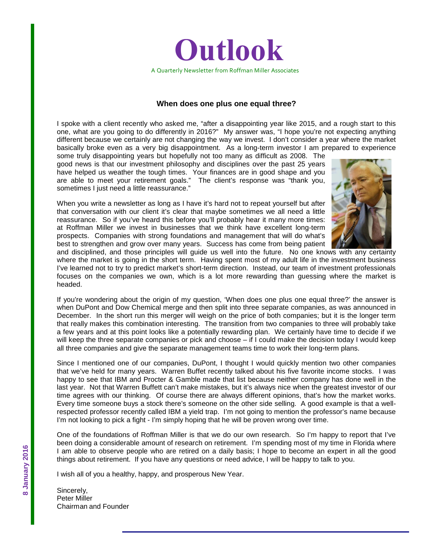

#### **When does one plus one equal three?**

I spoke with a client recently who asked me, "after a disappointing year like 2015, and a rough start to this one, what are you going to do differently in 2016?" My answer was, "I hope you're not expecting anything different because we certainly are not changing the way we invest. I don't consider a year where the market basically broke even as a very big disappointment. As a long-term investor I am prepared to experience

some truly disappointing years but hopefully not too many as difficult as 2008. The good news is that our investment philosophy and disciplines over the past 25 years have helped us weather the tough times. Your finances are in good shape and you are able to meet your retirement goals." The client's response was "thank you, sometimes I just need a little reassurance."

When you write a newsletter as long as I have it's hard not to repeat yourself but after that conversation with our client it's clear that maybe sometimes we all need a little reassurance. So if you've heard this before you'll probably hear it many more times: at Roffman Miller we invest in businesses that we think have excellent long-term prospects. Companies with strong foundations and management that will do what's best to strengthen and grow over many years. Success has come from being patient



and disciplined, and those principles will guide us well into the future. No one knows with any certainty where the market is going in the short term. Having spent most of my adult life in the investment business I've learned not to try to predict market's short-term direction. Instead, our team of investment professionals focuses on the companies we own, which is a lot more rewarding than guessing where the market is headed.

If you're wondering about the origin of my question, 'When does one plus one equal three?' the answer is when DuPont and Dow Chemical merge and then split into three separate companies, as was announced in December. In the short run this merger will weigh on the price of both companies; but it is the longer term that really makes this combination interesting. The transition from two companies to three will probably take a few years and at this point looks like a potentially rewarding plan. We certainly have time to decide if we will keep the three separate companies or pick and choose – if I could make the decision today I would keep all three companies and give the separate management teams time to work their long-term plans.

Since I mentioned one of our companies, DuPont, I thought I would quickly mention two other companies that we've held for many years. Warren Buffet recently talked about his five favorite income stocks. I was happy to see that IBM and Procter & Gamble made that list because neither company has done well in the last year. Not that Warren Buffett can't make mistakes, but it's always nice when the greatest investor of our time agrees with our thinking. Of course there are always different opinions, that's how the market works. Every time someone buys a stock there's someone on the other side selling. A good example is that a wellrespected professor recently called IBM a yield trap. I'm not going to mention the professor's name because I'm not looking to pick a fight - I'm simply hoping that he will be proven wrong over time.

One of the foundations of Roffman Miller is that we do our own research. So I'm happy to report that I've been doing a considerable amount of research on retirement. I'm spending most of my time in Florida where I am able to observe people who are retired on a daily basis; I hope to become an expert in all the good things about retirement. If you have any questions or need advice, I will be happy to talk to you.

I wish all of you a healthy, happy, and prosperous New Year.

Sincerely, Peter Miller Chairman and Founder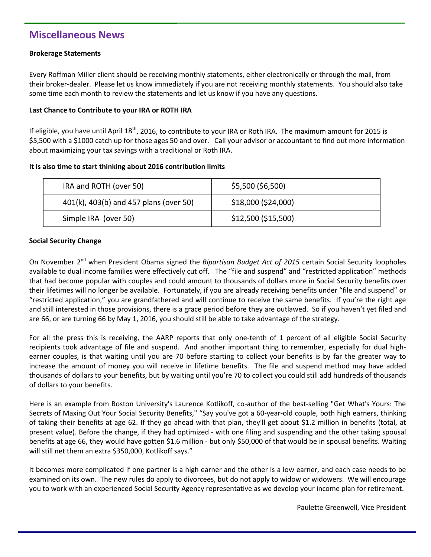## **Miscellaneous News**

#### **Brokerage Statements**

Every Roffman Miller client should be receiving monthly statements, either electronically or through the mail, from their broker-dealer. Please let us know immediately if you are not receiving monthly statements. You should also take some time each month to review the statements and let us know if you have any questions.

#### **Last Chance to Contribute to your IRA or ROTH IRA**

If eligible, you have until April  $18^{th}$ , 2016, to contribute to your IRA or Roth IRA. The maximum amount for 2015 is \$5,500 with a \$1000 catch up for those ages 50 and over. Call your advisor or accountant to find out more information about maximizing your tax savings with a traditional or Roth IRA.

#### **It is also time to start thinking about 2016 contribution limits**

| IRA and ROTH (over 50)                 | \$5,500 (\$6,500)   |
|----------------------------------------|---------------------|
| 401(k), 403(b) and 457 plans (over 50) | \$18,000 (\$24,000) |
| Simple IRA (over 50)                   | \$12,500 (\$15,500) |

#### **Social Security Change**

On November 2<sup>nd</sup> when President Obama signed the *Bipartisan Budget Act of 2015* certain Social Security loopholes available to dual income families were effectively cut off. The "file and suspend" and "restricted application" methods that had become popular with couples and could amount to thousands of dollars more in Social Security benefits over their lifetimes will no longer be available. Fortunately, if you are already receiving benefits under "file and suspend" or "restricted application," you are grandfathered and will continue to receive the same benefits. If you're the right age and still interested in those provisions, there is a grace period before they are outlawed. So if you haven't yet filed and are 66, or are turning 66 by May 1, 2016, you should still be able to take advantage of the strategy.

For all the press this is receiving, the AARP reports that only one-tenth of 1 percent of all eligible Social Security recipients took advantage of file and suspend. And another important thing to remember, especially for dual highearner couples, is that waiting until you are 70 before starting to collect your benefits is by far the greater way to increase the amount of money you will receive in lifetime benefits. The file and suspend method may have added thousands of dollars to your benefits, but by waiting until you're 70 to collect you could still add hundreds of thousands of dollars to your benefits.

Here is an example from Boston University's Laurence Kotlikoff, co-author of the best-selling "Get What's Yours: The Secrets of Maxing Out Your Social Security Benefits," "Say you've got a 60-year-old couple, both high earners, thinking of taking their benefits at age 62. If they go ahead with that plan, they'll get about \$1.2 million in benefits (total, at present value). Before the change, if they had optimized - with one filing and suspending and the other taking spousal benefits at age 66, they would have gotten \$1.6 million - but only \$50,000 of that would be in spousal benefits. Waiting will still net them an extra \$350,000, Kotlikoff says."

It becomes more complicated if one partner is a high earner and the other is a low earner, and each case needs to be examined on its own. The new rules do apply to divorcees, but do not apply to widow or widowers. We will encourage you to work with an experienced Social Security Agency representative as we develop your income plan for retirement.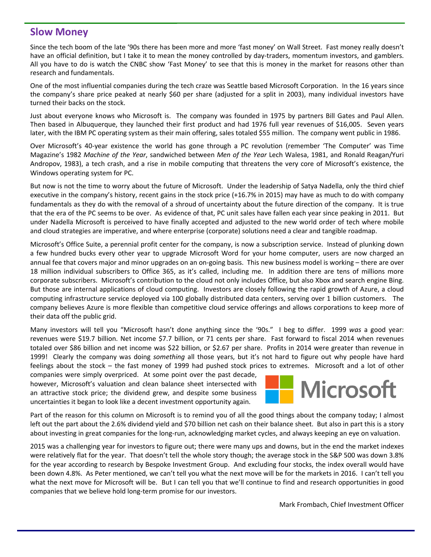### **Slow Money**

Since the tech boom of the late '90s there has been more and more 'fast money' on Wall Street. Fast money really doesn't have an official definition, but I take it to mean the money controlled by day-traders, momentum investors, and gamblers. All you have to do is watch the CNBC show 'Fast Money' to see that this is money in the market for reasons other than research and fundamentals.

One of the most influential companies during the tech craze was Seattle based Microsoft Corporation. In the 16 years since the company's share price peaked at nearly \$60 per share (adjusted for a split in 2003), many individual investors have turned their backs on the stock.

Just about everyone knows who Microsoft is. The company was founded in 1975 by partners Bill Gates and Paul Allen. Then based in Albuquerque, they launched their first product and had 1976 full year revenues of \$16,005. Seven years later, with the IBM PC operating system as their main offering, sales totaled \$55 million. The company went public in 1986.

Over Microsoft's 40-year existence the world has gone through a PC revolution (remember 'The Computer' was Time Magazine's 1982 *Machine of the Year*, sandwiched between *Men of the Year* Lech Walesa, 1981, and Ronald Reagan/Yuri Andropov, 1983), a tech crash, and a rise in mobile computing that threatens the very core of Microsoft's existence, the Windows operating system for PC.

But now is not the time to worry about the future of Microsoft. Under the leadership of Satya Nadella, only the third chief executive in the company's history, recent gains in the stock price (+16.7% in 2015) may have as much to do with company fundamentals as they do with the removal of a shroud of uncertainty about the future direction of the company. It is true that the era of the PC seems to be over. As evidence of that, PC unit sales have fallen each year since peaking in 2011. But under Nadella Microsoft is perceived to have finally accepted and adjusted to the new world order of tech where mobile and cloud strategies are imperative, and where enterprise (corporate) solutions need a clear and tangible roadmap.

Microsoft's Office Suite, a perennial profit center for the company, is now a subscription service. Instead of plunking down a few hundred bucks every other year to upgrade Microsoft Word for your home computer, users are now charged an annual fee that covers major and minor upgrades on an on-going basis. This new business model is working – there are over 18 million individual subscribers to Office 365, as it's called, including me. In addition there are tens of millions more corporate subscribers. Microsoft's contribution to the cloud not only includes Office, but also Xbox and search engine Bing. But those are internal applications of cloud computing. Investors are closely following the rapid growth of Azure, a cloud computing infrastructure service deployed via 100 globally distributed data centers, serving over 1 billion customers. The company believes Azure is more flexible than competitive cloud service offerings and allows corporations to keep more of their data off the public grid.

Many investors will tell you "Microsoft hasn't done anything since the '90s." I beg to differ. 1999 *was* a good year: revenues were \$19.7 billion. Net income \$7.7 billion, or 71 cents per share. Fast forward to fiscal 2014 when revenues totaled over \$86 billion and net income was \$22 billion, or \$2.67 per share. Profits in 2014 were greater than revenue in 1999! Clearly the company was doing *something* all those years, but it's not hard to figure out why people have hard feelings about the stock – the fast money of 1999 had pushed stock prices to extremes. Microsoft and a lot of other

companies were simply overpriced. At some point over the past decade, however, Microsoft's valuation and clean balance sheet intersected with an attractive stock price; the dividend grew, and despite some business uncertainties it began to look like a decent investment opportunity again.



Part of the reason for this column on Microsoft is to remind you of all the good things about the company today; I almost left out the part about the 2.6% dividend yield and \$70 billion net cash on their balance sheet. But also in part this is a story about investing in great companies for the long-run, acknowledging market cycles, and always keeping an eye on valuation.

2015 was a challenging year for investors to figure out; there were many ups and downs, but in the end the market indexes were relatively flat for the year. That doesn't tell the whole story though; the average stock in the S&P 500 was down 3.8% for the year according to research by Bespoke Investment Group. And excluding four stocks, the index overall would have been down 4.8%. As Peter mentioned, we can't tell you what the next move will be for the markets in 2016. I can't tell you what the next move for Microsoft will be. But I can tell you that we'll continue to find and research opportunities in good companies that we believe hold long-term promise for our investors.

Mark Frombach, Chief Investment Officer